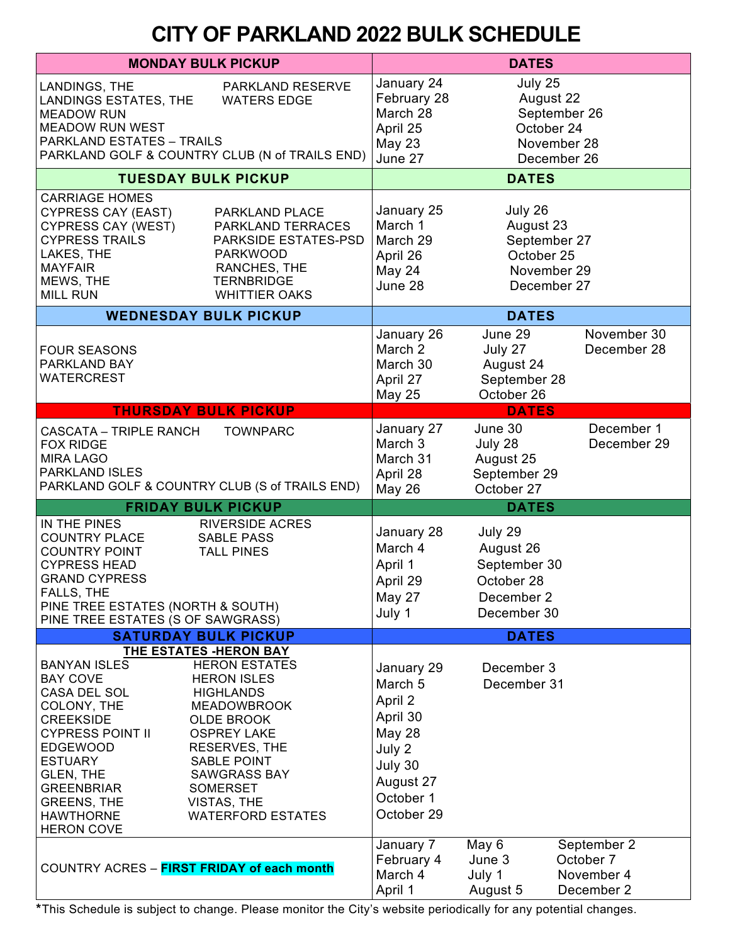## **CITY OF PARKLAND 2022 BULK SCHEDULE**

| <b>MONDAY BULK PICKUP</b>                                                                                                                                                                                                                                  |                                                                                                                                                                                                                                                                                       | <b>DATES</b>                                                                                                               |                                                                                  |                                                      |
|------------------------------------------------------------------------------------------------------------------------------------------------------------------------------------------------------------------------------------------------------------|---------------------------------------------------------------------------------------------------------------------------------------------------------------------------------------------------------------------------------------------------------------------------------------|----------------------------------------------------------------------------------------------------------------------------|----------------------------------------------------------------------------------|------------------------------------------------------|
| LANDINGS, THE<br>PARKLAND RESERVE<br>LANDINGS ESTATES, THE<br><b>WATERS EDGE</b><br><b>MEADOW RUN</b><br><b>MEADOW RUN WEST</b><br><b>PARKLAND ESTATES - TRAILS</b><br>PARKLAND GOLF & COUNTRY CLUB (N of TRAILS END)                                      |                                                                                                                                                                                                                                                                                       | January 24<br>February 28<br>March 28<br>April 25<br><b>May 23</b><br>June 27                                              | July 25<br>August 22<br>September 26<br>October 24<br>November 28<br>December 26 |                                                      |
| <b>TUESDAY BULK PICKUP</b>                                                                                                                                                                                                                                 |                                                                                                                                                                                                                                                                                       | <b>DATES</b>                                                                                                               |                                                                                  |                                                      |
| <b>CARRIAGE HOMES</b><br><b>CYPRESS CAY (EAST)</b><br>CYPRESS CAY (WEST)<br><b>CYPRESS TRAILS</b><br>LAKES, THE<br><b>MAYFAIR</b><br>MEWS, THE<br><b>MILL RUN</b>                                                                                          | PARKLAND PLACE<br>PARKLAND TERRACES<br>PARKSIDE ESTATES-PSD<br><b>PARKWOOD</b><br>RANCHES, THE<br><b>TERNBRIDGE</b><br><b>WHITTIER OAKS</b>                                                                                                                                           | January 25<br>March 1<br>March 29<br>April 26<br>May 24<br>June 28                                                         | July 26<br>August 23<br>September 27<br>October 25<br>November 29<br>December 27 |                                                      |
| <b>WEDNESDAY BULK PICKUP</b>                                                                                                                                                                                                                               | <b>DATES</b>                                                                                                                                                                                                                                                                          |                                                                                                                            |                                                                                  |                                                      |
| <b>FOUR SEASONS</b><br>PARKLAND BAY<br><b>WATERCREST</b>                                                                                                                                                                                                   |                                                                                                                                                                                                                                                                                       | January 26<br>March 2<br>March 30<br>April 27<br><b>May 25</b>                                                             | June 29<br>July 27<br>August 24<br>September 28<br>October 26                    | November 30<br>December 28                           |
| <b>THURSDAY BULK PICKUP</b>                                                                                                                                                                                                                                |                                                                                                                                                                                                                                                                                       | <b>DATES</b>                                                                                                               |                                                                                  |                                                      |
| <b>CASCATA - TRIPLE RANCH</b><br><b>FOX RIDGE</b><br><b>MIRA LAGO</b><br>PARKLAND ISLES                                                                                                                                                                    | <b>TOWNPARC</b><br>PARKLAND GOLF & COUNTRY CLUB (S of TRAILS END)                                                                                                                                                                                                                     | January 27<br>March 3<br>March 31<br>April 28<br><b>May 26</b>                                                             | June 30<br>July 28<br>August 25<br>September 29<br>October 27                    | December 1<br>December 29                            |
| <b>FRIDAY BULK PICKUP</b>                                                                                                                                                                                                                                  |                                                                                                                                                                                                                                                                                       | <b>DATES</b>                                                                                                               |                                                                                  |                                                      |
| IN THE PINES<br><b>COUNTRY PLACE</b><br><b>COUNTRY POINT</b><br><b>CYPRESS HEAD</b><br><b>GRAND CYPRESS</b><br>FALLS, THE<br>PINE TREE ESTATES (NORTH & SOUTH)<br>PINE TREE ESTATES (S OF SAWGRASS)                                                        | <b>RIVERSIDE ACRES</b><br><b>SABLE PASS</b><br><b>TALL PINES</b>                                                                                                                                                                                                                      | January 28<br>March 4<br>April 1<br>April 29<br>May 27<br>July 1                                                           | July 29<br>August 26<br>September 30<br>October 28<br>December 2<br>December 30  |                                                      |
| <b>SATURDAY BULK PICKUP</b>                                                                                                                                                                                                                                | <b>DATES</b>                                                                                                                                                                                                                                                                          |                                                                                                                            |                                                                                  |                                                      |
| <b>BANYAN ISLES</b><br><b>BAY COVE</b><br>CASA DEL SOL<br>COLONY, THE<br><b>CREEKSIDE</b><br><b>CYPRESS POINT II</b><br><b>EDGEWOOD</b><br><b>ESTUARY</b><br>GLEN, THE<br><b>GREENBRIAR</b><br><b>GREENS, THE</b><br><b>HAWTHORNE</b><br><b>HERON COVE</b> | THE ESTATES -HERON BAY<br><b>HERON ESTATES</b><br><b>HERON ISLES</b><br><b>HIGHLANDS</b><br><b>MEADOWBROOK</b><br><b>OLDE BROOK</b><br><b>OSPREY LAKE</b><br>RESERVES, THE<br><b>SABLE POINT</b><br><b>SAWGRASS BAY</b><br><b>SOMERSET</b><br>VISTAS, THE<br><b>WATERFORD ESTATES</b> | January 29<br>March 5<br>April 2<br>April 30<br><b>May 28</b><br>July 2<br>July 30<br>August 27<br>October 1<br>October 29 | December 3<br>December 31                                                        |                                                      |
| COUNTRY ACRES - FIRST FRIDAY of each month                                                                                                                                                                                                                 |                                                                                                                                                                                                                                                                                       | January 7<br>February 4<br>March 4<br>April 1                                                                              | May 6<br>June 3<br>July 1<br>August 5                                            | September 2<br>October 7<br>November 4<br>December 2 |

**\***This Schedule is subject to change. Please monitor the City's website periodically for any potential changes.